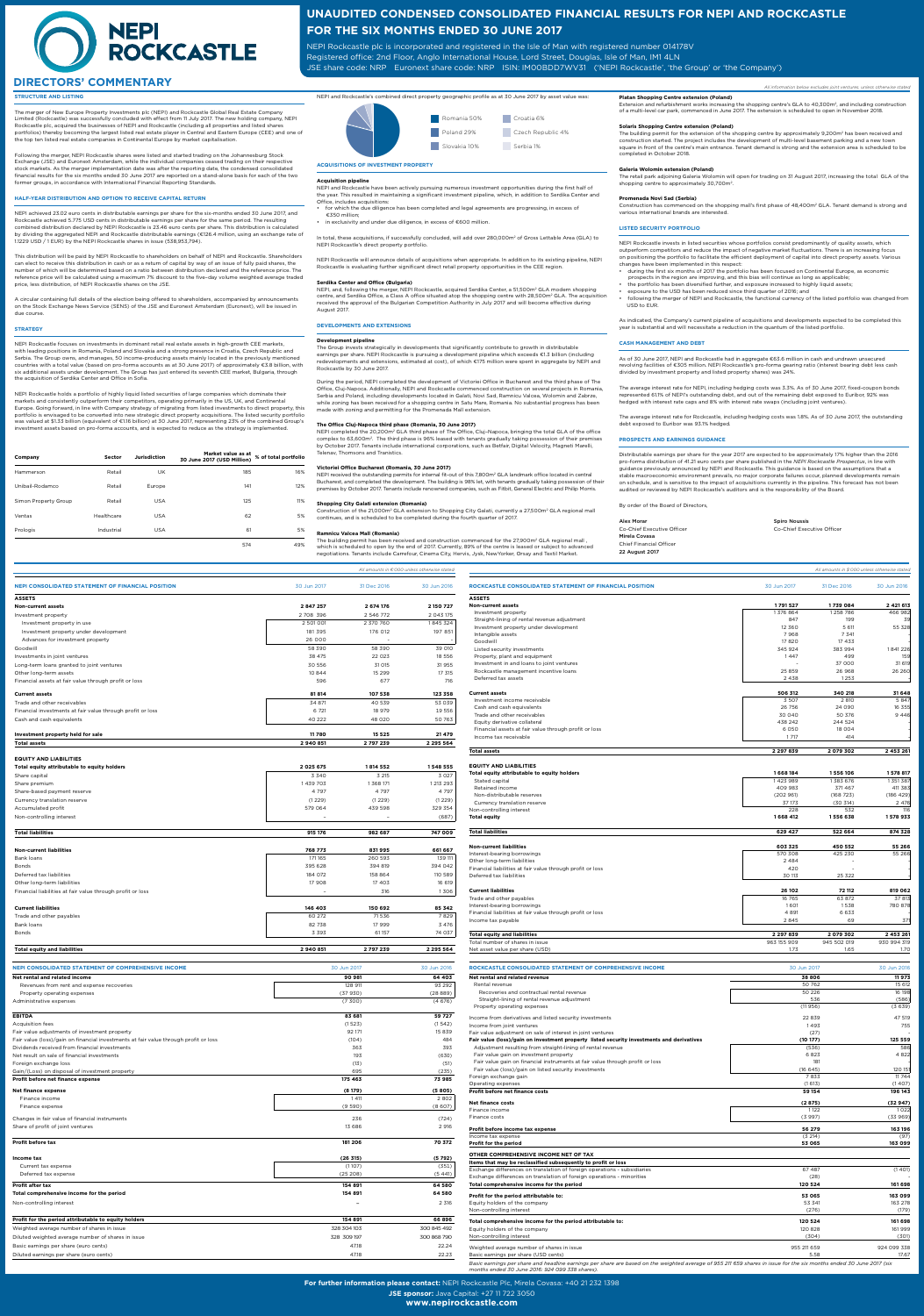**For further information please contact:** NEPI Rockcastle Plc, Mirela Covasa: +40 21 232 1398

**JSE sponsor:** Java Capital: +27 11 722 3050

**www.nepirockcastle.com**

# **STRUCTURE AND LISTING**

The merger of New Europe Property Investments plc (NEPI) and Rockcastle Global Real Estate Company Limited (Rockcastle) was successfully concluded with effect from 11 July 2017. The new holding company, NEPI Rockcastle plc, acquired the businesses of NEPI and Rockcastle (including all properties and listed shares portfolios) thereby becoming the largest listed real estate player in Central and Eastern Europe (CEE) and one of the top ten listed real estate companies in Continental Europe by market capitalisation.

Following the merger, NEPI Rockcastle shares were listed and started trading on the Johannesburg Stock Exchange (JSE) and Euronext Amsterdam, while the individual companies ceased trading on their respective stock markets. As the merger implementation date was after the reporting date, the condensed consolidated financial results for the six months ended 30 June 2017 are reported on a stand-alone basis for each of the two former groups, in accordance with International Financial Reporting Standards.

### **HALF-YEAR DISTRIBUTION AND OPTION TO RECEIVE CAPITAL RETURN**

NEPI achieved 23.02 euro cents in distributable earnings per share for the six-months ended 30 June 2017, and Rockcastle achieved 5.775 USD cents in distributable earnings per share for the same period. The resulting combined distribution declared by NEPI Rockcastle is 23.46 euro cents per share. This distribution is calculated by dividing the aggregated NEPI and Rockcastle distributable earnings (€126.4 million, using an exchange rate of 1.1229 USD / 1 EUR) by the NEPI Rockcastle shares in issue (538,953,794).

This distribution will be paid by NEPI Rockcastle to shareholders on behalf of NEPI and Rockcastle. Shareholders can elect to receive this distribution in cash or as a return of capital by way of an issue of fully paid shares, the number of which will be determined based on a ratio between distribution declared and the reference price. The reference price will be calculated using a maximum 7% discount to the five–day volume weighted average traded price, less distribution, of NEPI Rockcastle shares on the JSE.

A circular containing full details of the election being offered to shareholders, accompanied by announcements on the Stock Exchange News Service (SENS) of the JSE and Euronext Amsterdam (Euronext), will be issued in due course.

In total, these acquisitions, if successfully concluded, will add over 280,000m<sup>2</sup> of Gross Lettable Area (GLA) to NEPI Rockcastle's direct property portfolio.

### **STRATEGY**

NEPI, and, following the merger, NEPI Rockcastle, acquired Serdika Center, a 51,500m<sup>2</sup> GLA modern shopping centre, and Serdika Office, a Class A office situated atop the shopping centre with 28,500m2 GLA. The acquisition received the approval of the Bulgarian Competition Authority in July 2017 and will become effective during August 2017.

NEPI Rockcastle focuses on investments in dominant retail real estate assets in high-growth CEE markets, with leading positions in Romania, Poland and Slovakia and a strong presence in Croatia, Czech Republic and Serbia. The Group owns, and manages, 50 income-producing assets mainly located in the previously mentioned countries with a total value (based on pro-forma accounts as at 30 June 2017) of approximately €3.8 billion, with six additional assets under development. The Group has just entered its seventh CEE market, Bulgaria, through the acquisition of Serdika Center and Office in Sofia.

NEPI Rockcastle holds a portfolio of highly liquid listed securities of large companies which dominate their markets and consistently outperform their competitors, operating primarily in the US, UK, and Continental Europe. Going forward, in line with Company strategy of migrating from listed investments to direct property, this portfolio is envisaged to be converted into new strategic direct property acquisitions. The listed security portfolio was valued at \$1.33 billion (equivalent of €1.16 billion) at 30 June 2017, representing 23% of the combined Group's investment assets based on pro-forma accounts, and is expected to reduce as the strategy is implemented.

> Construction of the 21,000m<sup>2</sup> GLA extension to Shopping City Galati, currently a 27,500m<sup>2</sup> GLA regional mall continues, and is scheduled to be completed during the fourth quarter of 2017.

> The building permit has been received and construction commenced for the 27.900m<sup>2</sup> GLA regional mall . which is scheduled to open by the end of 2017. Currently, 89% of the centre is leased or subject to advanced negotiations. Tenants include Carrefour, Cinema City, Hervis, Jysk, NewYorker, Orsay and Textil Market.

| Company              | <b>Sector</b> | <b>Jurisdiction</b> | Market value as at<br>30 June 2017 (USD Million) | % of total portfolio |
|----------------------|---------------|---------------------|--------------------------------------------------|----------------------|
| Hammerson            | Retail        | UK                  | 185                                              | 16%                  |
| Unibail-Rodamco      | Retail        | Europe              | 141                                              | 12%                  |
| Simon Property Group | Retail        | <b>USA</b>          | 125                                              | 11%                  |
| Ventas               | Healthcare    | <b>USA</b>          | 62                                               | 5%                   |
| Prologis             | Industrial    | <b>USA</b>          | 61                                               | 5%                   |
|                      |               |                     | 574                                              | 49%                  |



**ACQUISITIONS OF INVESTMENT PROPERTY** 

**Acquisition pipeline**

NEPI and Rockcastle have been actively pursuing numerous investment opportunities during the first half of the year. This resulted in maintaining a significant investment pipeline, which, in addition to Serdika Center and Office, includes acquisitions:

• for which the due diligence has been completed and legal agreements are progressing, in excess of €350 million;

in exclusivity and under due diligence, in excess of €600 million.

NEPI Rockcastle will announce details of acquisitions when appropriate. In addition to its existing pipeline, NEPI Rockcastle is evaluating further significant direct retail property opportunities in the CEE region.

### **Serdika Center and Office (Bulgaria)**

# **DEVELOPMENTS AND EXTENSIONS**

### **Development pipeline**

The building permit for the extension of the shopping centre by approximately 9,200m<sup>2</sup> has been received and construction started. The project includes the development of multi-level basement parking and a new town square in front of the centre's main entrance. Tenant demand is strong and the extension area is scheduled to be completed in October 2018.

The retail park adjoining Galeria Wolomin will open for trading on 31 August 2017, increasing the total GLA of the shopping centre to approximately 30,700m<sup>2</sup>.

The Group invests strategically in developments that significantly contribute to growth in distributable earnings per share. NEPI Rockcastle is pursuing a development pipeline which exceeds €1.3 billion (including redevelopments and extensions, estimated at cost), of which €175 million were spent in aggregate by NEPI and Rockcastle by 30 June 2017.

Construction has commenced on the shopping mall's first phase of 48,400m<sup>2</sup> GLA. Tenant demand is strong and various international brands are interested.

During the period, NEPI completed the development of Victoriei Office in Bucharest and the third phase of The Office, Cluj-Napoca. Additionally, NEPI and Rockcastle commenced construction on several projects in Romania, Serbia and Poland, including developments located in Galati, Novi Sad, Ramnicu Valcea, Wolomin and Zabrze, while zoning has been received for a shopping centre in Satu Mare, Romania. No substantial progress has been made with zoning and permitting for the Promenada Mall extension.

- during the first six months of 2017 the portfolio has been focused on Continental Europe, as economic prospects in the region are improving, and this bias will continue as long as applicable;
- the portfolio has been diversified further, and exposure increased to highly liquid assets;
- exposure to the USD has been reduced since third quarter of 2016; and
- following the merger of NEPI and Rockcastle, the functional currency of the listed portfolio was changed from USD to EUR.

# **The Office Cluj-Napoca third phase (Romania, 30 June 2017)**

NEPI completed the 20,200m2 GLA third phase of The Office, Cluj–Napoca, bringing the total GLA of the office complex to 63,600m2. The third phase is 96% leased with tenants gradually taking possession of their premises by October 2017. Tenants include international corporations, such as Betfair, Digital Velocity, Magneti Marelli, Telenav, Thomsons and Tranistics.

### **Victoriei Office Bucharest (Romania, 30 June 2017)**

NEPI received the outstanding permits for internal fit-out of this 7,800m2 GLA landmark office located in central Bucharest, and completed the development. The building is 98% let, with tenants gradually taking possession of their premises by October 2017. Tenants include renowned companies, such as Fitbit, General Electric and Philip Morris.

### **Shopping City Galati extension (Romania)**

### **Ramnicu Valcea Mall (Romania)**

**UNAUDITED CONDENSED CONSOLIDATED FINANCIAL RESULTS FOR NEPI AND ROCKCASTLE**

**FOR THE SIX MONTHS ENDED 30 JUNE 2017**

NEPI Rockcastle plc is incorporated and registered in the Isle of Man with registered number 014178V Registered office: 2nd Floor, Anglo International House, Lord Street, Douglas, Isle of Man, IM1 4LN

JSE share code: NRP Euronext share code: NRP ISIN: IM00BDD7WV31 ('NEPI Rockcastle', 'the Group' or 'the Company')



# **DIRECTORS' COMMENTARY** *All information below excludes joint ventures, unless otherwise stated*

**EQUITY AND LIABILITIES**

| Total equity attributable to equity holders                | 668 184  | 1 556 106 | 578 817   |
|------------------------------------------------------------|----------|-----------|-----------|
| Stated capital                                             | 1423989  | 383 676   | 351 387   |
| Retained income                                            | 409 983  | 371467    | 411 383   |
| Non-distributable reserves                                 | (202961) | (168723)  | (186 429) |
| Currency translation reserve                               | 37 173   | (30314)   | 2 4 7 6   |
| Non-controlling interest                                   | 228      | 532       | 116       |
| <b>Total equity</b>                                        | 1668 412 | 1556 638  | 1578933   |
| <b>Total liabilities</b>                                   | 629 427  | 522 664   | 874 328   |
| <b>Non-current liabilities</b>                             | 603 325  | 450 552   | 55 266    |
| Interest-bearing borrowings                                | 570 308  | 425 230   | 55 266    |
| Other long-term liabilities                                | 2 4 8 4  |           |           |
| Financial liabilities at fair value through profit or loss | 420      |           |           |
| Deferred tax liabilities                                   | 30 113   | 25 322    |           |
| <b>Current liabilities</b>                                 | 26 102   | 72 112    | 819 062   |
| Trade and other payables                                   | 16 765   | 63 872    | 37 813    |
| Interest-bearing borrowings                                | 1601     | 1538      | 780 878   |
| Financial liabilities at fair value through profit or loss | 4 8 9 1  | 6 6 3 3   |           |

Income tax payable 2 845 69 371

| <b>Total equity and liabilities</b> | 2 297 839   | 2079302     | 2 453 261   |
|-------------------------------------|-------------|-------------|-------------|
| Total number of shares in issue     | 963 155 909 | 945 502 019 | 930 994 319 |
| Net asset value per share (USD)     | $- -$       | 1.65        | 1.70        |

**Platan Shopping Centre extension (Poland)** Extension and refurbishment works increasing the shopping centre's GLA to 40,300m<sup>2</sup>, and including construction of a multi-level car park, commenced in June 2017. The extension is scheduled to open in November 2018.

# **Solaris Shopping Centre extension (Poland)**

# **Galeria Wolomin extension (Poland)**

# **Promenada Novi Sad (Serbia)**

### **LISTED SECURITY PORTFOLIO**

NEPI Rockcastle invests in listed securities whose portfolios consist predominantly of quality assets, which outperform competitors and reduce the impact of negative market fluctuations. There is an increasing focus on positioning the portfolio to facilitate the efficient deployment of capital into direct property assets. Various changes have been implemented in this respect:

|                                                            |             |             | All amounts in $\epsilon$ '000 unless otherwise stated |                                                         |               | All amounts in \$'000 unless otherwise stated |             |
|------------------------------------------------------------|-------------|-------------|--------------------------------------------------------|---------------------------------------------------------|---------------|-----------------------------------------------|-------------|
| <b>NEPI CONSOLIDATED STATEMENT OF FINANCIAL POSITION</b>   | 30 Jun 2017 | 31 Dec 2016 | 30 Jun 2016                                            | ROCKCASTLE CONSOLIDATED STATEMENT OF FINANCIAL POSITION | 30 Jun 2017   | 31 Dec 2016                                   | 30 Jun 2016 |
| <b>ASSETS</b>                                              |             |             |                                                        | <b>ASSETS</b>                                           |               |                                               |             |
| <b>Non-current assets</b>                                  | 2 847 257   | 2 674 176   | 2 150 727                                              | <b>Non-current assets</b>                               | 1791527       | 1739 084                                      | 2 4 21 6 13 |
| Investment property                                        | 2 708 396   | 2 546 772   | 2 043 175                                              | Investment property                                     | 1376864       | 1258786                                       | 466 982     |
| Investment property in use                                 | 2 501 001   | 2 370 760   | 1845 324                                               | Straight-lining of rental revenue adjustment            | 847           | 199                                           | 39          |
| Investment property under development                      | 181 395     | 176 012     | 197 851                                                | Investment property under development                   | 12 360        | 5 611                                         | 55 328      |
| Advances for investment property                           | 26 000      |             |                                                        | Intangible assets<br>Goodwill                           | 7968<br>17820 | 7 3 4 1<br>17433                              |             |
| Goodwill                                                   | 58 390      | 58 390      | 39 010                                                 | Listed security investments                             | 345 924       | 383 994                                       | 1841226     |
| Investments in joint ventures                              | 38 475      | 22 0 23     | 18 5 5 6                                               | Property, plant and equipment                           | 1447          | 499                                           | <b>159</b>  |
| Long-term loans granted to joint ventures                  | 30 556      | 31 015      | 31955                                                  | Investment in and loans to joint ventures               |               | 37 000                                        | 31 619      |
| Other long-term assets                                     | 10844       | 15 2 9 9    | 17 315                                                 | Rockcastle management incentive loans                   | 25 859        | 26 968                                        | 26 26 0     |
| Financial assets at fair value through profit or loss      | 596         | 677         | 716                                                    | Deferred tax assets                                     | 2438          | 1253                                          |             |
| <b>Current assets</b>                                      | 81814       | 107 538     | 123 358                                                | <b>Current assets</b>                                   | 506 312       | 340 218                                       | 31 648      |
| Trade and other receivables                                | 34 871      | 40 539      | 53 039                                                 | Investment income receivable                            | 3 5 0 7       | 2 8 10                                        | 5847        |
| Financial investments at fair value through profit or loss | 6 7 21      | 18 979      | 19 556                                                 | Cash and cash equivalents                               | 26 756        | 24 090                                        | 16 355      |
| Cash and cash equivalents                                  | 40 222      | 48 020      | 50 763                                                 | Trade and other receivables                             | 30 040        | 50 376                                        | 9 4 4 6     |
|                                                            |             |             |                                                        | Equity derivative collateral                            | 438 242       | 244 524                                       |             |
| Investment property held for sale                          | 11780       | 15 5 25     | 21 479                                                 | Financial assets at fair value through profit or loss   | 6 0 5 0       | 18 0 0 4                                      |             |
| Total assets                                               | 2 940 851   | 2 797 239   | 2 2 9 5 5 6 4                                          | Income tax receivable                                   | 1717          | 414                                           |             |
|                                                            |             |             |                                                        | <b>Total assets</b>                                     | 2 2 9 7 8 3 9 | 2 079 302                                     | 2 453 26    |

As indicated, the Company's current pipeline of acquisitions and developments expected to be completed this year is substantial and will necessitate a reduction in the quantum of the listed portfolio.

# **CASH MANAGEMENT AND DEBT**

As of 30 June 2017, NEPI and Rockcastle had in aggregate €63.6 million in cash and undrawn unsecured revolving facilities of €305 million. NEPI Rockcastle's pro-forma gearing ratio (interest bearing debt less cash divided by investment property and listed property shares) was 24%.

The average interest rate for NEPI, including hedging costs was 3.3%. As of 30 June 2017, fixed-coupon bonds represented 61.1% of NEPI's outstanding debt, and out of the remaining debt exposed to Euribor, 92% was hedged with interest rate caps and 8% with interest rate swaps (including joint ventures).

The average interest rate for Rockcastle, including hedging costs was 1.8%. As of 30 June 2017, the outstanding debt exposed to Euribor was 93.1% hedged.

### **PROSPECTS AND EARNINGS GUIDANCE**

Distributable earnings per share for the year 2017 are expected to be approximately 17% higher than the 2016 pro-forma distribution of 41.21 euro cents per share published in the *NEPI Rockcastle Prospectus*, in line with guidance previously announced by NEPI and Rockcastle. This guidance is based on the assumptions that a stable macroeconomic environment prevails, no major corporate failures occur, planned developments remain on schedule, and is sensitive to the impact of acquisitions currently in the pipeline. This forecast has not been audited or reviewed by NEPI Rockcastle's auditors and is the responsibility of the Board.

# By order of the Board of Directors,

| Alex Morar                 |
|----------------------------|
| Co-Chief Executive Officer |
| Mirela Covasa              |
| Chief Financial Officer    |
| 22 August 2017             |
|                            |

**Spiro Noussis** Co-Chief Executive Officer

| <b>EQUITY AND LIABILITIES</b>               |                          |           |           |  |  |  |  |
|---------------------------------------------|--------------------------|-----------|-----------|--|--|--|--|
| Total equity attributable to equity holders | 2 0 2 5 6 7 5            | 1814 552  | 1 548 555 |  |  |  |  |
| Share capital                               | 3 3 4 0                  | 3 2 1 5   | 3 0 2 7   |  |  |  |  |
| Share premium                               | 1 439 703                | 1 368 171 | 1 213 293 |  |  |  |  |
| Share-based payment reserve                 | 4 7 9 7                  | 4 7 9 7   | 4 7 9 7   |  |  |  |  |
| Currency translation reserve                | (1229)                   | (1229)    | (1229)    |  |  |  |  |
| Accumulated profit                          | 579 064                  | 439 598   | 329 354   |  |  |  |  |
| Non-controlling interest                    | $\overline{\phantom{a}}$ |           | (687)     |  |  |  |  |
|                                             |                          |           |           |  |  |  |  |

| <b>Total liabilities</b>                                   | 915 176                  | 982 687 | 747 009 |
|------------------------------------------------------------|--------------------------|---------|---------|
| <b>Non-current liabilities</b>                             | 768 773                  | 831995  | 661 667 |
| Bank loans                                                 | 171 165                  | 260 593 | 139 111 |
| <b>Bonds</b>                                               | 395 628                  | 394 819 | 394 042 |
| Deferred tax liabilities                                   | 184 072                  | 158 864 | 110 589 |
| Other long-term liabilities                                | 17 908                   | 17 403  | 16 619  |
| Financial liabilities at fair value through profit or loss | $\overline{\phantom{a}}$ | 316     | 1306    |
| <b>Current liabilities</b>                                 | 146 403                  | 150 692 | 85 342  |
| Trade and other payables                                   | 60 272                   | 71536   | 7829    |
| Bank loans                                                 | 82738                    | 17 999  | 3 4 7 6 |
| <b>Bonds</b>                                               | 3 3 9 3                  | 61 157  | 74 037  |

| l liabilities<br>Total equity<br>and<br>. | 940 851 | 239<br>70<br>.<br>_______ | 564<br>ימי |
|-------------------------------------------|---------|---------------------------|------------|
|                                           |         |                           |            |



| ROCKCASTLE CONSOLIDATED STATEMENT OF COMPREHENSIVE INCOME                                                                                                            | 30 Jun 2017 | 30 Jun 2016 |
|----------------------------------------------------------------------------------------------------------------------------------------------------------------------|-------------|-------------|
| Net rental and related revenue                                                                                                                                       | 38 806      | 11973       |
| Rental revenue                                                                                                                                                       | 50 762      | 15 612      |
| Recoveries and contractual rental revenue                                                                                                                            | 50 226      | 16 198      |
| Straight-lining of rental revenue adjustment                                                                                                                         | 536         | (586)       |
| Property operating expenses                                                                                                                                          | (11956)     | (3639)      |
| Income from derivatives and listed security investments                                                                                                              | 22839       | 47 519      |
| Income from joint ventures                                                                                                                                           | 1493        | 755         |
| Fair value adjustment on sale of interest in joint ventures                                                                                                          | (27)        |             |
| Fair value (loss)/gain on investment property listed security investments and derivatives                                                                            | (10177)     | 125 559     |
| Adjustment resulting from straight-lining of rental revenue                                                                                                          | (536)       | 586         |
| Fair value gain on investment property                                                                                                                               | 6823        | 4822        |
| Fair value gain on financial instruments at fair value through profit or loss                                                                                        | 181         |             |
| Fair value (loss)/gain on listed security investments                                                                                                                | (16645)     | 120 15      |
| Foreign exchange gain                                                                                                                                                | 7833        | 11744       |
| Operating expenses                                                                                                                                                   | (1613)      | (1407)      |
| Profit before net finance costs                                                                                                                                      | 59 154      | 196 143     |
| <b>Net finance costs</b>                                                                                                                                             | (2875)      | (32947)     |
| Finance income                                                                                                                                                       | 1122        | 1022        |
| Finance costs                                                                                                                                                        | (3997)      | (33969)     |
| Profit before income tax expense                                                                                                                                     | 56 279      | 163 196     |
| Income tax expense                                                                                                                                                   | (3 214)     | (97)        |
| Profit for the period                                                                                                                                                | 53 065      | 163 099     |
| OTHER COMPREHENSIVE INCOME NET OF TAX                                                                                                                                |             |             |
| Items that may be reclassified subsequently to profit or loss                                                                                                        |             |             |
| Exchange differences on translation of foreign operations - subsidiaries                                                                                             | 67 487      | (1401)      |
| Exchange differences on translation of foreign operations - minorities                                                                                               | (28)        |             |
| Total comprehensive income for the period                                                                                                                            | 120 524     | 161 698     |
| Profit for the period attributable to:                                                                                                                               | 53 065      | 163 099     |
| Equity holders of the company                                                                                                                                        | 53 341      | 163 278     |
| Non-controlling interest                                                                                                                                             | (276)       | (179)       |
| Total comprehensive income for the period attributable to:                                                                                                           | 120 524     | 161 698     |
| Equity holders of the company                                                                                                                                        | 120 828     | 161 999     |
| Non-controlling interest                                                                                                                                             | (304)       | (301)       |
| Weighted average number of shares in issue                                                                                                                           | 955 211 659 | 924 099 338 |
| Basic earnings per share (USD cents)                                                                                                                                 | 5.58        | 17.67       |
| Basic earnings per share and headline earnings per share are based on the weighted average of 955 211 659 shares in issue for the six months ended 30 June 2017 (six |             |             |

*Basic earnings per share and headline earnings per share are based on the weighted average of 955 211 659 shares in issue for the six months ended 30 June 2017 (six months ended 30 June 2016: 924 099 338 shares).*

| <b>NEPI CONSOLIDATED STATEMENT OF COMPREHENSIVE INCOME</b>                           | 30 Jun 2017 | 30 Jun 2016 |
|--------------------------------------------------------------------------------------|-------------|-------------|
| Net rental and related income                                                        | 90 981      | 64 403      |
| Revenues from rent and expense recoveries                                            | 128 911     | 93 292      |
| Property operating expenses                                                          | (37930)     | (2889)      |
| Administrative expenses                                                              | (7300)      | (4676)      |
| <b>EBITDA</b>                                                                        | 83 681      | 59727       |
| <b>Acquisition fees</b>                                                              | (1523)      | (1542)      |
| Fair value adjustments of investment property                                        | 92 171      | 15 839      |
| Fair value (loss)/gain on financial investments at fair value through profit or loss | (104)       | 484         |
| Dividends received from financial investments                                        | 363         | 393         |
| Net result on sale of financial investments                                          | 193         | (630)       |
| Foreign exchange loss                                                                | (13)        | (51)        |
| Gain/(Loss) on disposal of investment property                                       | 695         | (235)       |
| Profit before net finance expense                                                    | 175 463     | 73 985      |
| Net finance expense                                                                  | (8179)      | (5805)      |
| Finance income                                                                       | 1411        | 2802        |
| Finance expense                                                                      | (9590)      | (8607)      |
| Changes in fair value of financial instruments                                       | 236         | (724)       |
| Share of profit of joint ventures                                                    | 13 686      | 2916        |
| Profit before tax                                                                    | 181 206     | 70 372      |
| Income tax                                                                           | (26 315)    | (5792)      |
| Current tax expense                                                                  | (1107)      | (351)       |
| Deferred tax expense                                                                 | (25 208)    | (5441)      |
| Profit after tax                                                                     | 154 891     | 64 580      |
| Total comprehensive income for the period                                            | 154 891     | 64 580      |
| Non-controlling interest                                                             |             | 2 3 16      |
| Profit for the period attributable to equity holders                                 | 154 891     | 66896       |
| Weighted average number of shares in issue                                           | 328 304 103 | 300 845 492 |
| Diluted weighted average number of shares in issue                                   | 328 309 197 | 300 868 790 |
| Basic earnings per share (euro cents)                                                | 47.18       | 22.24       |
| Diluted earnings per share (euro cents)                                              | 47.18       | 22.23       |